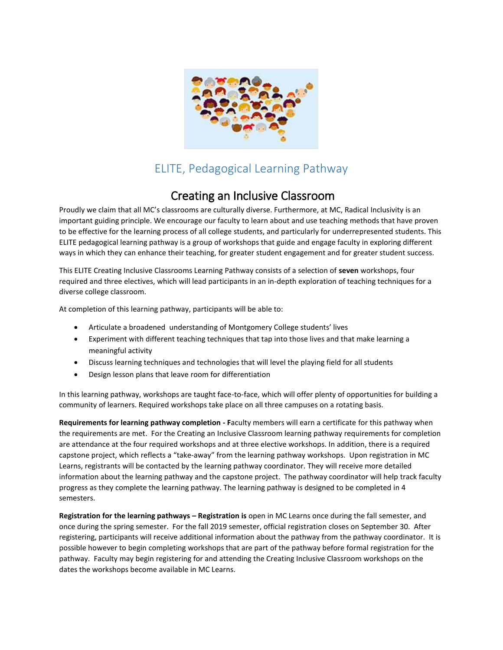

## ELITE, Pedagogical Learning Pathway

## Creating an Inclusive Classroom

Proudly we claim that all MC's classrooms are culturally diverse. Furthermore, at MC, Radical Inclusivity is an important guiding principle. We encourage our faculty to learn about and use teaching methods that have proven to be effective for the learning process of all college students, and particularly for underrepresented students. This ELITE pedagogical learning pathway is a group of workshops that guide and engage faculty in exploring different ways in which they can enhance their teaching, for greater student engagement and for greater student success.

This ELITE Creating Inclusive Classrooms Learning Pathway consists of a selection of **seven** workshops, four required and three electives, which will lead participants in an in-depth exploration of teaching techniques for a diverse college classroom.

At completion of this learning pathway, participants will be able to:

- Articulate a broadened understanding of Montgomery College students' lives
- Experiment with different teaching techniques that tap into those lives and that make learning a meaningful activity
- Discuss learning techniques and technologies that will level the playing field for all students
- Design lesson plans that leave room for differentiation

In this learning pathway, workshops are taught face-to-face, which will offer plenty of opportunities for building a community of learners. Required workshops take place on all three campuses on a rotating basis.

**Requirements for learning pathway completion - F**aculty members will earn a certificate for this pathway when the requirements are met. For the Creating an Inclusive Classroom learning pathway requirements for completion are attendance at the four required workshops and at three elective workshops. In addition, there is a required capstone project, which reflects a "take-away" from the learning pathway workshops. Upon registration in MC Learns, registrants will be contacted by the learning pathway coordinator. They will receive more detailed information about the learning pathway and the capstone project. The pathway coordinator will help track faculty progress as they complete the learning pathway. The learning pathway is designed to be completed in 4 semesters.

**Registration for the learning pathways – Registration is** open in MC Learns once during the fall semester, and once during the spring semester. For the fall 2019 semester, official registration closes on September 30. After registering, participants will receive additional information about the pathway from the pathway coordinator. It is possible however to begin completing workshops that are part of the pathway before formal registration for the pathway. Faculty may begin registering for and attending the Creating Inclusive Classroom workshops on the dates the workshops become available in MC Learns.